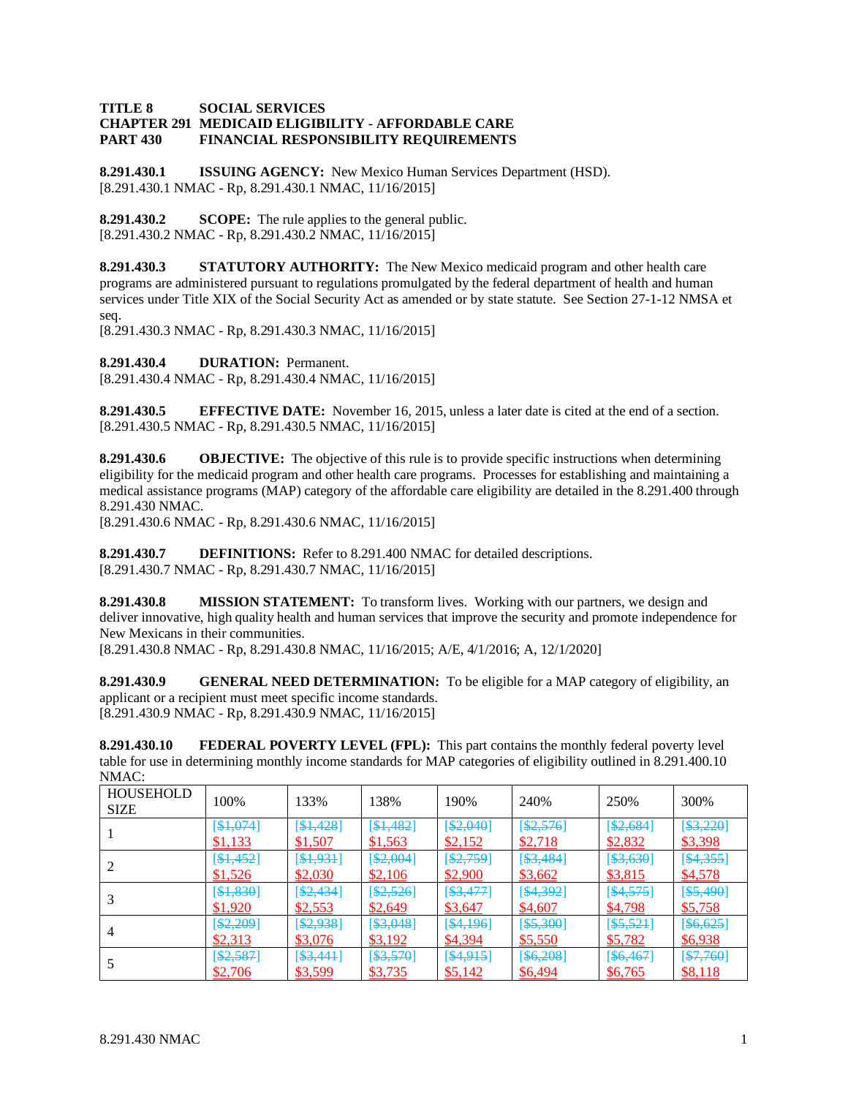## **TITLE 8 SOCIAL SERVICES CHAPTER 291 MEDICAID ELIGIBILITY - AFFORDABLE CARE PART 430 FINANCIAL RESPONSIBILITY REQUIREMENTS**

**8.291.430.1 ISSUING AGENCY:** New Mexico Human Services Department (HSD). [8.291.430.1 NMAC - Rp, 8.291.430.1 NMAC, 11/16/2015]

**8.291.430.2 SCOPE:** The rule applies to the general public. [8.291.430.2 NMAC - Rp, 8.291.430.2 NMAC, 11/16/2015]

**8.291.430.3 STATUTORY AUTHORITY:** The New Mexico medicaid program and other health care programs are administered pursuant to regulations promulgated by the federal department of health and human services under Title XIX of the Social Security Act as amended or by state statute. See Section 27-1-12 NMSA et seq.

[8.291.430.3 NMAC - Rp, 8.291.430.3 NMAC, 11/16/2015]

**8.291.430.4 DURATION:** Permanent.

[8.291.430.4 NMAC - Rp, 8.291.430.4 NMAC, 11/16/2015]

**8.291.430.5 EFFECTIVE DATE:** November 16, 2015, unless a later date is cited at the end of a section. [8.291.430.5 NMAC - Rp, 8.291.430.5 NMAC, 11/16/2015]

**8.291.430.6 OBJECTIVE:** The objective of this rule is to provide specific instructions when determining eligibility for the medicaid program and other health care programs. Processes for establishing and maintaining a medical assistance programs (MAP) category of the affordable care eligibility are detailed in the 8.291.400 through 8.291.430 NMAC.

[8.291.430.6 NMAC - Rp, 8.291.430.6 NMAC, 11/16/2015]

**8.291.430.7 DEFINITIONS:** Refer to 8.291.400 NMAC for detailed descriptions. [8.291.430.7 NMAC - Rp, 8.291.430.7 NMAC, 11/16/2015]

**8.291.430.8 MISSION STATEMENT:** To transform lives. Working with our partners, we design and deliver innovative, high quality health and human services that improve the security and promote independence for New Mexicans in their communities.

[8.291.430.8 NMAC - Rp, 8.291.430.8 NMAC, 11/16/2015; A/E, 4/1/2016; A, 12/1/2020]

**8.291.430.9 GENERAL NEED DETERMINATION:** To be eligible for a MAP category of eligibility, an applicant or a recipient must meet specific income standards. [8.291.430.9 NMAC - Rp, 8.291.430.9 NMAC, 11/16/2015]

**8.291.430.10 FEDERAL POVERTY LEVEL (FPL):** This part contains the monthly federal poverty level table for use in determining monthly income standards for MAP categories of eligibility outlined in 8.291.400.10 NMAC:

| <b>HOUSEHOLD</b><br><b>SIZE</b> | 100%      | 133%         | 138%       | 190%      | 240%         | 250%         | 300%         |
|---------------------------------|-----------|--------------|------------|-----------|--------------|--------------|--------------|
|                                 | [\$1,074] | [\$1,428]    | [\$1,482]  | [\$2,040] | \$2,576]     | [\$2,684]    | [\$3,220]    |
|                                 | \$1,133   | \$1,507      | \$1,563    | \$2,152   | \$2,718      | \$2,832      | \$3,398      |
|                                 | [\$1,452] | [\$1,931]    | [\$2,004]  | [\$2,759] | $[$ \$3,484] | [\$3,630]    | [\$4,355]    |
|                                 | \$1,526   | \$2,030      | \$2,106    | \$2,900   | \$3,662      | \$3,815      | \$4,578      |
|                                 | [\$1,830] | [ \$2,434]   | [ \$2,526] | [\$3,477] | [\$4,392]    | [\$4,575]    | $[$ \$5,490] |
|                                 | \$1,920   | \$2,553      | \$2,649    | \$3,647   | \$4,607      | \$4,798      | \$5,758      |
| 4                               | [\$2,209] | [\$2,938]    | [\$3,048]  | [\$4,196] | $[$ \$5,300] | $[$ \$5,521] | [\$6,625]    |
|                                 | \$2,313   | \$3,076      | \$3,192    | \$4,394   | \$5,550      | \$5,782      | \$6,938      |
|                                 | [\$2,587] | $[$ \$3,441] | [\$3,570]  | [\$4,915] | [\$6,208]    | [\$6,467]    | [\$7,760]    |
|                                 | \$2,706   | \$3,599      | \$3,735    | \$5,142   | \$6,494      | \$6,765      | \$8,118      |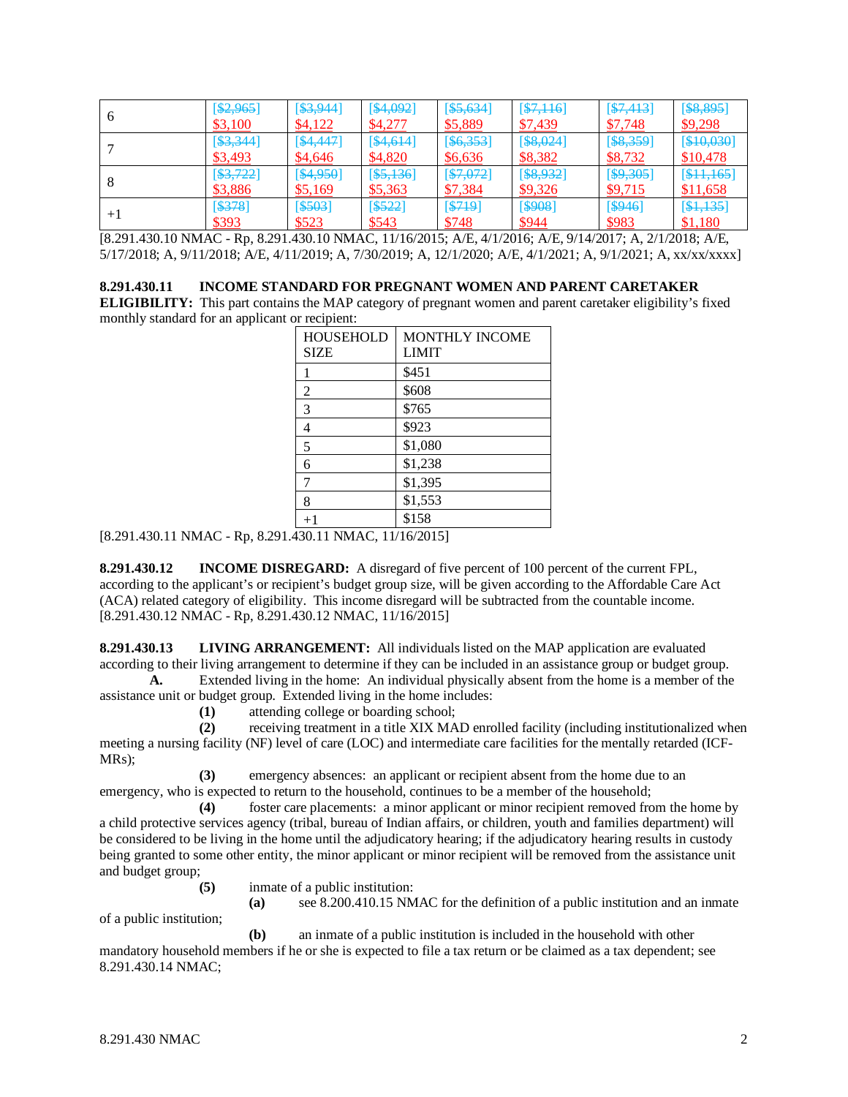| n    | [\$2,965] | [\$3,944]  | [\$4,092]    | [\$5,634] | [\$7,116]    | [\$7,413] | $[$ \$8,895] |
|------|-----------|------------|--------------|-----------|--------------|-----------|--------------|
|      | \$3,100   | \$4,122    | \$4,277      | \$5,889   | \$7,439      | \$7,748   | \$9,298      |
|      | [\$3,344] | [\$4,447]  | [\$4,614]    | [\$6,353] | [\$8,024]    | [\$8,359] | [\$10,030]   |
|      | \$3,493   | \$4,646    | \$4,820      | \$6,636   | \$8,382      | \$8,732   | \$10,478     |
|      | 53,722    | [\$4,950]  | $[$ \$5,136] | [\$7,072] | $[$ \$8,932] | [\$9,305] | [\$11,165]   |
|      | \$3,886   | \$5,169    | \$5,363      | \$7,384   | \$9,326      | \$9,715   | \$11,658     |
| $+1$ | 5378      | $[$ \$503] | $[$ \$522]   | [ \$719]  | [\$908]      | [\$946]   | [\$1,135]    |
|      | \$393     | \$523      | \$543        | \$748     | \$944        | \$983     | \$1,180      |

[8.291.430.10 NMAC - Rp, 8.291.430.10 NMAC, 11/16/2015; A/E, 4/1/2016; A/E, 9/14/2017; A, 2/1/2018; A/E, 5/17/2018; A, 9/11/2018; A/E, 4/11/2019; A, 7/30/2019; A, 12/1/2020; A/E, 4/1/2021; A, 9/1/2021; A, xx/xx/xxxx]

**8.291.430.11 INCOME STANDARD FOR PREGNANT WOMEN AND PARENT CARETAKER** 

**ELIGIBILITY:** This part contains the MAP category of pregnant women and parent caretaker eligibility's fixed monthly standard for an applicant or recipient:

| <b>HOUSEHOLD</b> | <b>MONTHLY INCOME</b> |
|------------------|-----------------------|
| <b>SIZE</b>      | <b>LIMIT</b>          |
| 1                | \$451                 |
| $\overline{2}$   | \$608                 |
| 3                | \$765                 |
| 4                | \$923                 |
| 5                | \$1,080               |
| 6                | \$1,238               |
| 7                | \$1,395               |
| 8                | \$1,553               |
| $+1$             | \$158                 |

[8.291.430.11 NMAC - Rp, 8.291.430.11 NMAC, 11/16/2015]

**8.291.430.12 INCOME DISREGARD:** A disregard of five percent of 100 percent of the current FPL, according to the applicant's or recipient's budget group size, will be given according to the Affordable Care Act (ACA) related category of eligibility. This income disregard will be subtracted from the countable income. [8.291.430.12 NMAC - Rp, 8.291.430.12 NMAC, 11/16/2015]

**8.291.430.13 LIVING ARRANGEMENT:** All individuals listed on the MAP application are evaluated according to their living arrangement to determine if they can be included in an assistance group or budget group.

**A.** Extended living in the home: An individual physically absent from the home is a member of the assistance unit or budget group. Extended living in the home includes:

**(1)** attending college or boarding school;

**(2)** receiving treatment in a title XIX MAD enrolled facility (including institutionalized when meeting a nursing facility (NF) level of care (LOC) and intermediate care facilities for the mentally retarded (ICF-MRs);

**(3)** emergency absences: an applicant or recipient absent from the home due to an emergency, who is expected to return to the household, continues to be a member of the household;

**(4)** foster care placements: a minor applicant or minor recipient removed from the home by a child protective services agency (tribal, bureau of Indian affairs, or children, youth and families department) will be considered to be living in the home until the adjudicatory hearing; if the adjudicatory hearing results in custody being granted to some other entity, the minor applicant or minor recipient will be removed from the assistance unit and budget group;

- **(5)** inmate of a public institution:
	- **(a)** see 8.200.410.15 NMAC for the definition of a public institution and an inmate

of a public institution;

**(b)** an inmate of a public institution is included in the household with other mandatory household members if he or she is expected to file a tax return or be claimed as a tax dependent; see 8.291.430.14 NMAC;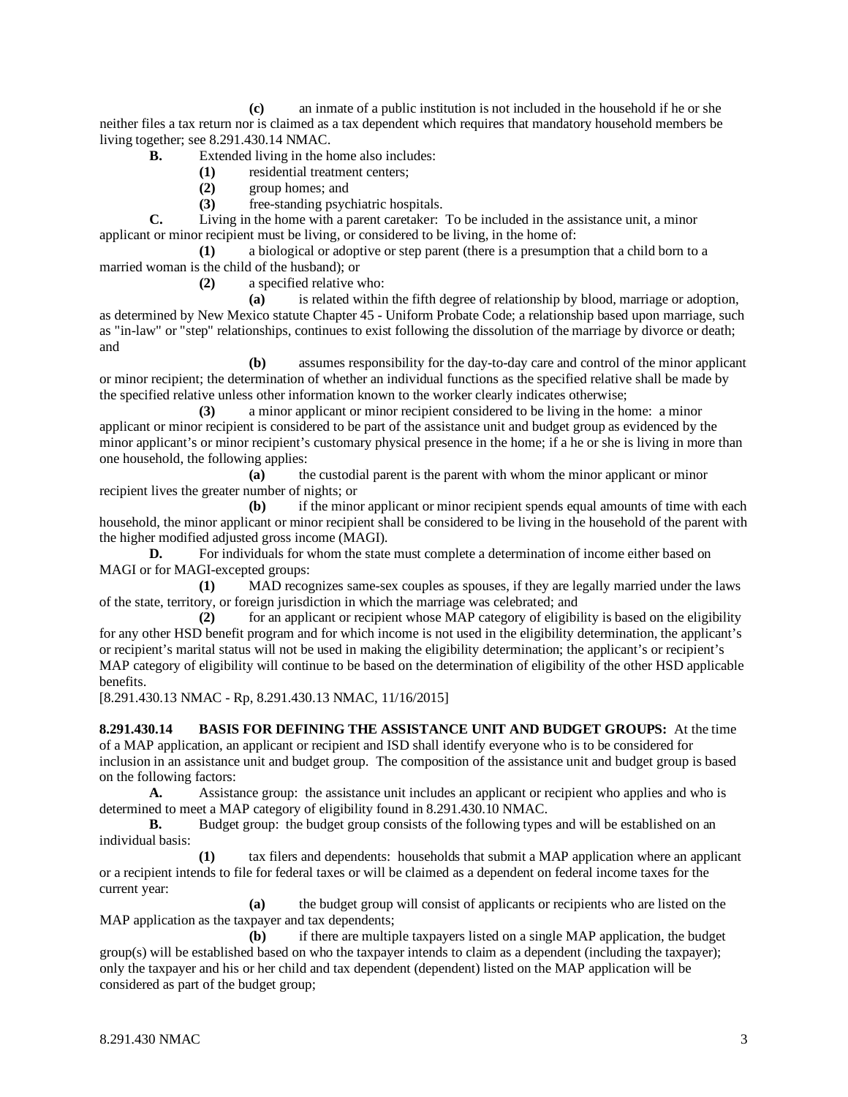**(c)** an inmate of a public institution is not included in the household if he or she neither files a tax return nor is claimed as a tax dependent which requires that mandatory household members be living together; see 8.291.430.14 NMAC.

- **B.** Extended living in the home also includes:
	- **(1)** residential treatment centers;
	- **(2)** group homes; and
	- **(3)** free-standing psychiatric hospitals.

**C.** Living in the home with a parent caretaker: To be included in the assistance unit, a minor applicant or minor recipient must be living, or considered to be living, in the home of:

**(1)** a biological or adoptive or step parent (there is a presumption that a child born to a married woman is the child of the husband); or

**(2)** a specified relative who:

**(a)** is related within the fifth degree of relationship by blood, marriage or adoption, as determined by New Mexico statute Chapter 45 - Uniform Probate Code; a relationship based upon marriage, such as "in-law" or "step" relationships, continues to exist following the dissolution of the marriage by divorce or death; and

**(b)** assumes responsibility for the day-to-day care and control of the minor applicant or minor recipient; the determination of whether an individual functions as the specified relative shall be made by the specified relative unless other information known to the worker clearly indicates otherwise;

**(3)** a minor applicant or minor recipient considered to be living in the home: a minor applicant or minor recipient is considered to be part of the assistance unit and budget group as evidenced by the minor applicant's or minor recipient's customary physical presence in the home; if a he or she is living in more than one household, the following applies:

**(a)** the custodial parent is the parent with whom the minor applicant or minor recipient lives the greater number of nights; or

**(b)** if the minor applicant or minor recipient spends equal amounts of time with each household, the minor applicant or minor recipient shall be considered to be living in the household of the parent with the higher modified adjusted gross income (MAGI).

**D.** For individuals for whom the state must complete a determination of income either based on MAGI or for MAGI-excepted groups:

**(1)** MAD recognizes same-sex couples as spouses, if they are legally married under the laws of the state, territory, or foreign jurisdiction in which the marriage was celebrated; and

**(2)** for an applicant or recipient whose MAP category of eligibility is based on the eligibility for any other HSD benefit program and for which income is not used in the eligibility determination, the applicant's or recipient's marital status will not be used in making the eligibility determination; the applicant's or recipient's MAP category of eligibility will continue to be based on the determination of eligibility of the other HSD applicable benefits.

[8.291.430.13 NMAC - Rp, 8.291.430.13 NMAC, 11/16/2015]

**8.291.430.14 BASIS FOR DEFINING THE ASSISTANCE UNIT AND BUDGET GROUPS:** At the time of a MAP application, an applicant or recipient and ISD shall identify everyone who is to be considered for inclusion in an assistance unit and budget group. The composition of the assistance unit and budget group is based on the following factors:

**A.** Assistance group: the assistance unit includes an applicant or recipient who applies and who is determined to meet a MAP category of eligibility found in 8.291.430.10 NMAC.<br> **B.** Budget group: the budget group consists of the following types

**B.** Budget group: the budget group consists of the following types and will be established on an individual basis:

**(1)** tax filers and dependents: households that submit a MAP application where an applicant or a recipient intends to file for federal taxes or will be claimed as a dependent on federal income taxes for the current year:

**(a)** the budget group will consist of applicants or recipients who are listed on the MAP application as the taxpayer and tax dependents;

**(b)** if there are multiple taxpayers listed on a single MAP application, the budget group(s) will be established based on who the taxpayer intends to claim as a dependent (including the taxpayer); only the taxpayer and his or her child and tax dependent (dependent) listed on the MAP application will be considered as part of the budget group;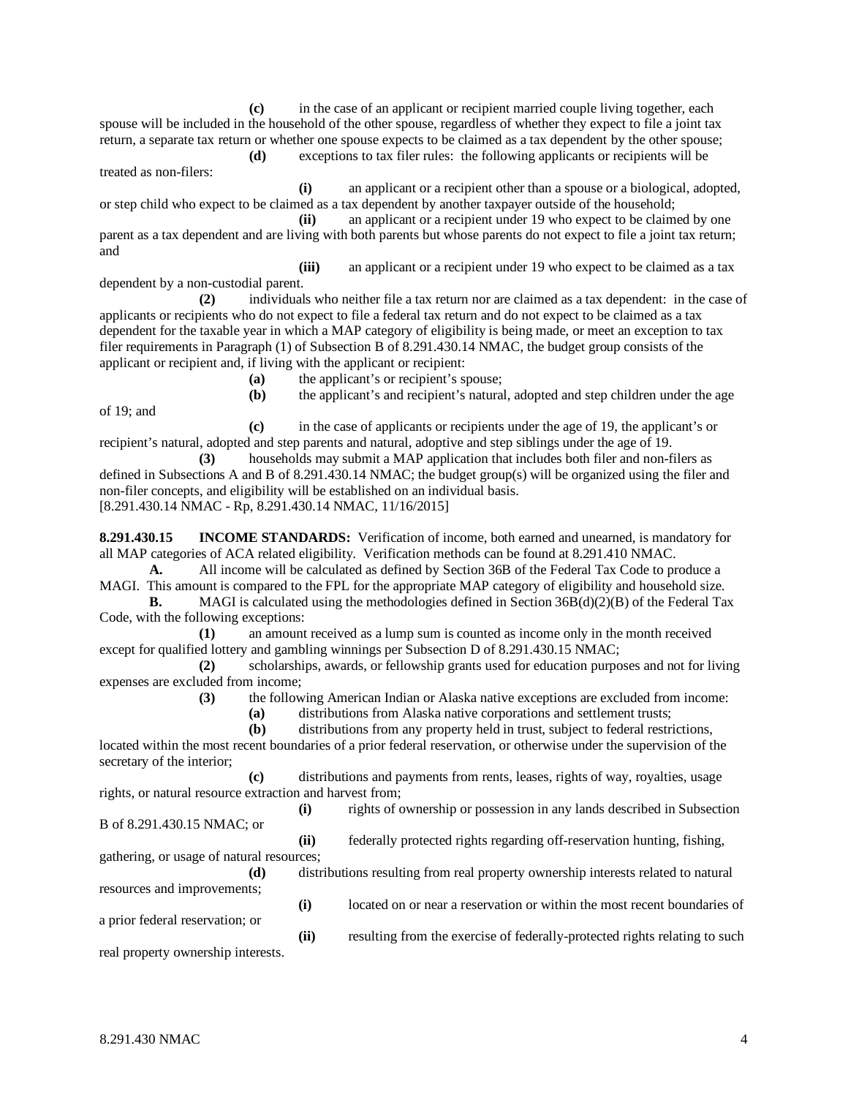**(c)** in the case of an applicant or recipient married couple living together, each spouse will be included in the household of the other spouse, regardless of whether they expect to file a joint tax return, a separate tax return or whether one spouse expects to be claimed as a tax dependent by the other spouse;

**(d)** exceptions to tax filer rules: the following applicants or recipients will be treated as non-filers:

**(i)** an applicant or a recipient other than a spouse or a biological, adopted, or step child who expect to be claimed as a tax dependent by another taxpayer outside of the household;

**(ii)** an applicant or a recipient under 19 who expect to be claimed by one parent as a tax dependent and are living with both parents but whose parents do not expect to file a joint tax return; and

**(iii)** an applicant or a recipient under 19 who expect to be claimed as a tax dependent by a non-custodial parent.

**(2)** individuals who neither file a tax return nor are claimed as a tax dependent: in the case of applicants or recipients who do not expect to file a federal tax return and do not expect to be claimed as a tax dependent for the taxable year in which a MAP category of eligibility is being made, or meet an exception to tax filer requirements in Paragraph (1) of Subsection B of 8.291.430.14 NMAC, the budget group consists of the applicant or recipient and, if living with the applicant or recipient:

**(a)** the applicant's or recipient's spouse;

**(b)** the applicant's and recipient's natural, adopted and step children under the age

**(c)** in the case of applicants or recipients under the age of 19, the applicant's or recipient's natural, adopted and step parents and natural, adoptive and step siblings under the age of 19.

**(3)** households may submit a MAP application that includes both filer and non-filers as defined in Subsections A and B of 8.291.430.14 NMAC; the budget group(s) will be organized using the filer and non-filer concepts, and eligibility will be established on an individual basis. [8.291.430.14 NMAC - Rp, 8.291.430.14 NMAC, 11/16/2015]

**8.291.430.15 INCOME STANDARDS:** Verification of income, both earned and unearned, is mandatory for all MAP categories of ACA related eligibility. Verification methods can be found at 8.291.410 NMAC.

**A.** All income will be calculated as defined by Section 36B of the Federal Tax Code to produce a MAGI. This amount is compared to the FPL for the appropriate MAP category of eligibility and household size.

**B.** MAGI is calculated using the methodologies defined in Section 36B(d)(2)(B) of the Federal Tax Code, with the following exceptions:

**(1)** an amount received as a lump sum is counted as income only in the month received except for qualified lottery and gambling winnings per Subsection D of 8.291.430.15 NMAC;

**(2)** scholarships, awards, or fellowship grants used for education purposes and not for living expenses are excluded from income;

**(3)** the following American Indian or Alaska native exceptions are excluded from income:

**(a)** distributions from Alaska native corporations and settlement trusts;

**(b)** distributions from any property held in trust, subject to federal restrictions,

located within the most recent boundaries of a prior federal reservation, or otherwise under the supervision of the secretary of the interior;

**(c)** distributions and payments from rents, leases, rights of way, royalties, usage rights, or natural resource extraction and harvest from;

B of 8.291.430.15 NMAC; or

of 19; and

**(i)** rights of ownership or possession in any lands described in Subsection

**(ii)** federally protected rights regarding off-reservation hunting, fishing, gathering, or usage of natural resources; **(d)** distributions resulting from real property ownership interests related to natural

resources and improvements;

a prior federal reservation; or

**(i)** located on or near a reservation or within the most recent boundaries of

**(ii)** resulting from the exercise of federally-protected rights relating to such real property ownership interests.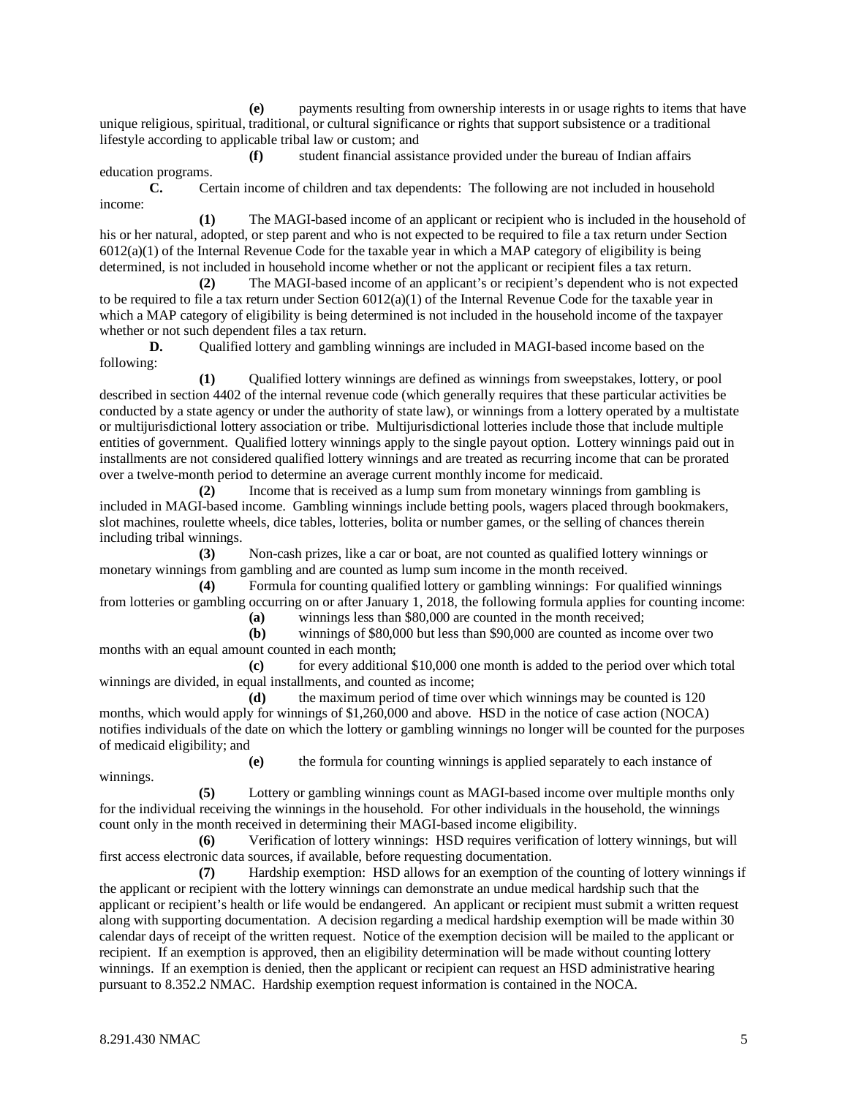**(e)** payments resulting from ownership interests in or usage rights to items that have unique religious, spiritual, traditional, or cultural significance or rights that support subsistence or a traditional lifestyle according to applicable tribal law or custom; and

**(f)** student financial assistance provided under the bureau of Indian affairs education programs.

**C.** Certain income of children and tax dependents: The following are not included in household income:

**(1)** The MAGI-based income of an applicant or recipient who is included in the household of his or her natural, adopted, or step parent and who is not expected to be required to file a tax return under Section 6012(a)(1) of the Internal Revenue Code for the taxable year in which a MAP category of eligibility is being determined, is not included in household income whether or not the applicant or recipient files a tax return.

**(2)** The MAGI-based income of an applicant's or recipient's dependent who is not expected to be required to file a tax return under Section  $6012(a)(1)$  of the Internal Revenue Code for the taxable year in which a MAP category of eligibility is being determined is not included in the household income of the taxpayer whether or not such dependent files a tax return.

**D.** Qualified lottery and gambling winnings are included in MAGI-based income based on the following:

**(1)** Qualified lottery winnings are defined as winnings from sweepstakes, lottery, or pool described in section 4402 of the internal revenue code (which generally requires that these particular activities be conducted by a state agency or under the authority of state law), or winnings from a lottery operated by a multistate or multijurisdictional lottery association or tribe. Multijurisdictional lotteries include those that include multiple entities of government. Qualified lottery winnings apply to the single payout option. Lottery winnings paid out in installments are not considered qualified lottery winnings and are treated as recurring income that can be prorated over a twelve-month period to determine an average current monthly income for medicaid.

**(2)** Income that is received as a lump sum from monetary winnings from gambling is included in MAGI-based income. Gambling winnings include betting pools, wagers placed through bookmakers, slot machines, roulette wheels, dice tables, lotteries, bolita or number games, or the selling of chances therein including tribal winnings.

**(3)** Non-cash prizes, like a car or boat, are not counted as qualified lottery winnings or monetary winnings from gambling and are counted as lump sum income in the month received.

**(4)** Formula for counting qualified lottery or gambling winnings: For qualified winnings from lotteries or gambling occurring on or after January 1, 2018, the following formula applies for counting income:

**(a)** winnings less than \$80,000 are counted in the month received;

**(b)** winnings of \$80,000 but less than \$90,000 are counted as income over two months with an equal amount counted in each month;

**(c)** for every additional \$10,000 one month is added to the period over which total winnings are divided, in equal installments, and counted as income;

**(d)** the maximum period of time over which winnings may be counted is 120 months, which would apply for winnings of \$1,260,000 and above. HSD in the notice of case action (NOCA) notifies individuals of the date on which the lottery or gambling winnings no longer will be counted for the purposes of medicaid eligibility; and

**(e)** the formula for counting winnings is applied separately to each instance of

**(5)** Lottery or gambling winnings count as MAGI-based income over multiple months only for the individual receiving the winnings in the household. For other individuals in the household, the winnings count only in the month received in determining their MAGI-based income eligibility.

**(6)** Verification of lottery winnings: HSD requires verification of lottery winnings, but will first access electronic data sources, if available, before requesting documentation.

**(7)** Hardship exemption: HSD allows for an exemption of the counting of lottery winnings if the applicant or recipient with the lottery winnings can demonstrate an undue medical hardship such that the applicant or recipient's health or life would be endangered. An applicant or recipient must submit a written request along with supporting documentation. A decision regarding a medical hardship exemption will be made within 30 calendar days of receipt of the written request. Notice of the exemption decision will be mailed to the applicant or recipient. If an exemption is approved, then an eligibility determination will be made without counting lottery winnings. If an exemption is denied, then the applicant or recipient can request an HSD administrative hearing pursuant to 8.352.2 NMAC. Hardship exemption request information is contained in the NOCA.

winnings.